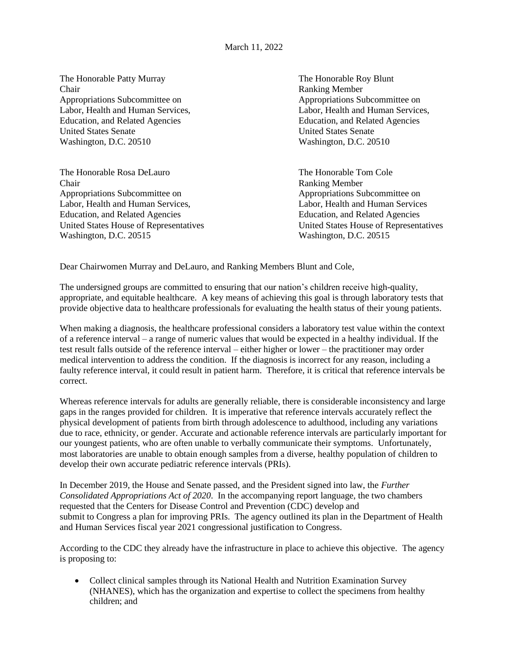The Honorable Patty Murray The Honorable Roy Blunt Chair Ranking Member Appropriations Subcommittee on Appropriations Subcommittee on Appropriations Subcommittee on Labor, Health and Human Services, Labor, Health and Human Services, Education, and Related Agencies Education, and Related Agencies United States Senate United States Senate Washington, D.C. 20510 Washington, D.C. 20510

The Honorable Rosa DeLauro The Honorable Tom Cole Chair Ranking Member Appropriations Subcommittee on Appropriations Subcommittee on Appropriations Subcommittee on Labor, Health and Human Services, Labor, Health and Human Services Education, and Related Agencies Education, and Related Agencies Washington, D.C. 20515 Washington, D.C. 20515

United States House of Representatives United States House of Representatives

Dear Chairwomen Murray and DeLauro, and Ranking Members Blunt and Cole,

The undersigned groups are committed to ensuring that our nation's children receive high-quality, appropriate, and equitable healthcare. A key means of achieving this goal is through laboratory tests that provide objective data to healthcare professionals for evaluating the health status of their young patients.

When making a diagnosis, the healthcare professional considers a laboratory test value within the context of a reference interval – a range of numeric values that would be expected in a healthy individual. If the test result falls outside of the reference interval – either higher or lower – the practitioner may order medical intervention to address the condition. If the diagnosis is incorrect for any reason, including a faulty reference interval, it could result in patient harm. Therefore, it is critical that reference intervals be correct.

Whereas reference intervals for adults are generally reliable, there is considerable inconsistency and large gaps in the ranges provided for children. It is imperative that reference intervals accurately reflect the physical development of patients from birth through adolescence to adulthood, including any variations due to race, ethnicity, or gender. Accurate and actionable reference intervals are particularly important for our youngest patients, who are often unable to verbally communicate their symptoms. Unfortunately, most laboratories are unable to obtain enough samples from a diverse, healthy population of children to develop their own accurate pediatric reference intervals (PRIs).

In December 2019, the House and Senate passed, and the President signed into law, the *Further Consolidated Appropriations Act of 2020*. In the accompanying report language, the two chambers requested that the Centers for Disease Control and Prevention (CDC) develop and submit to Congress a plan for improving PRIs. The agency outlined its plan in the Department of Health and Human Services fiscal year 2021 congressional justification to Congress.

According to the CDC they already have the infrastructure in place to achieve this objective. The agency is proposing to:

• Collect clinical samples through its National Health and Nutrition Examination Survey (NHANES), which has the organization and expertise to collect the specimens from healthy children; and